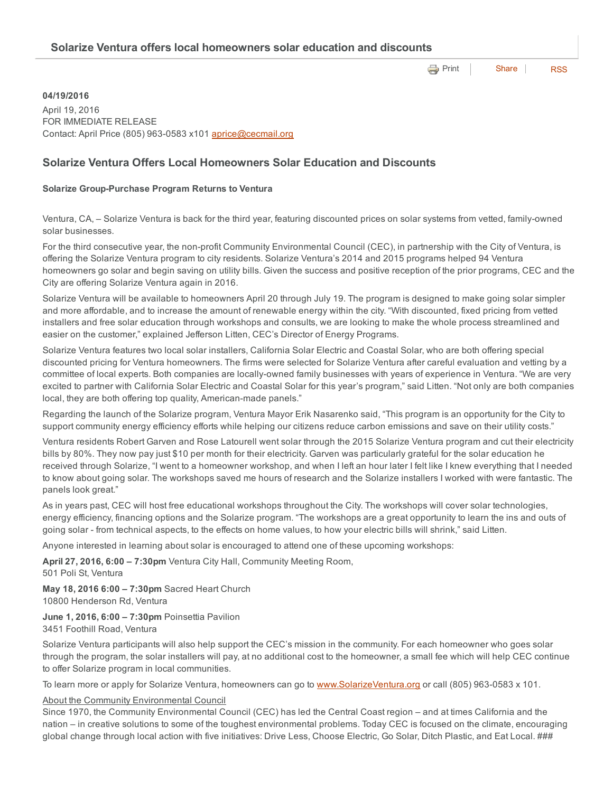**e** [Print](http://www.cityofventura.net/print/17598) | [Share](javascript:void(0)) | [RSS](http://www.cityofventura.net/feed/press_release/rss.xml)

### 04/19/2016

April 19, 2016 FOR IMMEDIATE RELEASE Contact: April Price (805) 963-0583 x101 [aprice@cecmail.org](mailto:aprice@cecmail.org)

# Solarize Ventura Offers Local Homeowners Solar Education and Discounts

### Solarize Group-Purchase Program Returns to Ventura

Ventura, CA, – Solarize Ventura is back for the third year, featuring discounted prices on solar systems from vetted, family-owned solar businesses.

For the third consecutive year, the non-profit Community Environmental Council (CEC), in partnership with the City of Ventura, is offering the Solarize Ventura program to city residents. Solarize Ventura's 2014 and 2015 programs helped 94 Ventura homeowners go solar and begin saving on utility bills. Given the success and positive reception of the prior programs, CEC and the City are offering Solarize Ventura again in 2016.

Solarize Ventura will be available to homeowners April 20 through July 19. The program is designed to make going solar simpler and more affordable, and to increase the amount of renewable energy within the city. "With discounted, fixed pricing from vetted installers and free solar education through workshops and consults, we are looking to make the whole process streamlined and easier on the customer," explained Jefferson Litten, CEC's Director of Energy Programs.

Solarize Ventura features two local solar installers, California Solar Electric and Coastal Solar, who are both offering special discounted pricing for Ventura homeowners. The firms were selected for Solarize Ventura after careful evaluation and vetting by a committee of local experts. Both companies are locally-owned family businesses with years of experience in Ventura. "We are very excited to partner with California Solar Electric and Coastal Solar for this year's program," said Litten. "Not only are both companies local, they are both offering top quality, American-made panels."

Regarding the launch of the Solarize program, Ventura Mayor Erik Nasarenko said, "This program is an opportunity for the City to support community energy efficiency efforts while helping our citizens reduce carbon emissions and save on their utility costs."

Ventura residents Robert Garven and Rose Latourell went solar through the 2015 Solarize Ventura program and cut their electricity bills by 80%. They now pay just \$10 per month for their electricity. Garven was particularly grateful for the solar education he received through Solarize, "I went to a homeowner workshop, and when I left an hour later I felt like I knew everything that I needed to know about going solar. The workshops saved me hours of research and the Solarize installers I worked with were fantastic. The panels look great."

As in years past, CEC will host free educational workshops throughout the City. The workshops will cover solar technologies, energy efficiency, financing options and the Solarize program. "The workshops are a great opportunity to learn the ins and outs of going solar from technical aspects, to the effects on home values, to how your electric bills will shrink," said Litten.

Anyone interested in learning about solar is encouraged to attend one of these upcoming workshops:

April 27, 2016, 6:00 - 7:30pm Ventura City Hall, Community Meeting Room,

501 Poli St, Ventura

May 18, 2016 6:00 – 7:30pm Sacred Heart Church 10800 Henderson Rd, Ventura

## June 1, 2016, 6:00 – 7:30pm Poinsettia Pavilion

3451 Foothill Road, Ventura

Solarize Ventura participants will also help support the CEC's mission in the community. For each homeowner who goes solar through the program, the solar installers will pay, at no additional cost to the homeowner, a small fee which will help CEC continue to offer Solarize program in local communities.

To learn more or apply for Solarize Ventura, homeowners can go to [www.SolarizeVentura.org](http://www.solarizeventura.org/) or call (805) 963-0583 x 101.

#### About the Community Environmental Council

Since 1970, the Community Environmental Council (CEC) has led the Central Coast region – and at times California and the nation – in creative solutions to some of the toughest environmental problems. Today CEC is focused on the climate, encouraging global change through local action with five initiatives: Drive Less, Choose Electric, Go Solar, Ditch Plastic, and Eat Local. ###